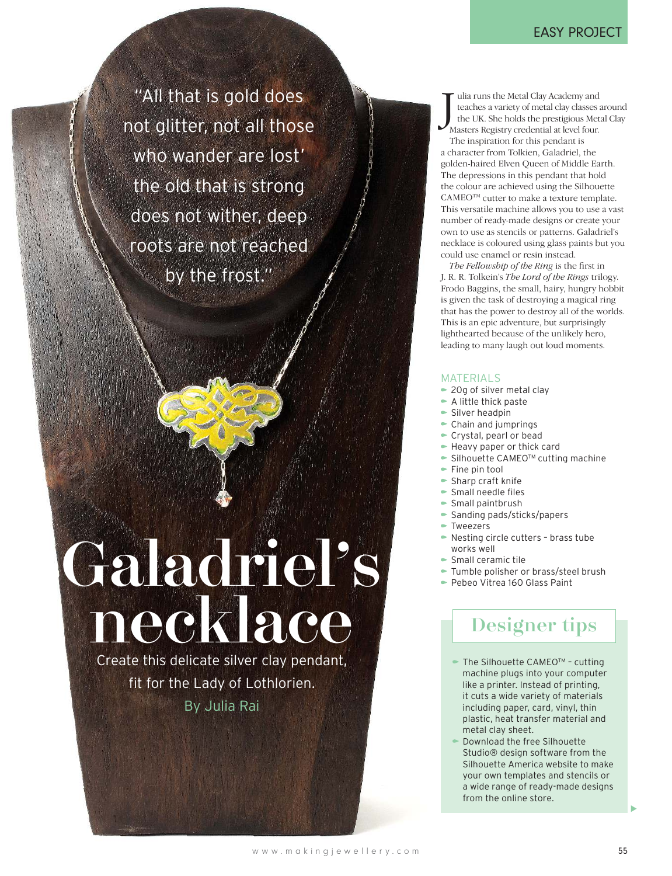#### EASY PROJECT

"All that is gold does not glitter, not all those who wander are lost' the old that is strong does not wither, deep roots are not reached by the frost."

# Galadriel's necklace

Create this delicate silver clay pendant, fit for the Lady of Lothlorien. By Julia Rai

 $\begin{array}{l} \displaystyle\int\limits_0^{\pi}\text{ulia runs the Metal Clay Academy and teaches a variety of metal clay classes the UK. She holds the prestigious Met Masters Registry credentials at level four.} \end{array}$ ulia runs the Metal Clay Academy and teaches a variety of metal clay classes around the UK. She holds the prestigious Metal Clay

The inspiration for this pendant is a character from Tolkien, Galadriel, the golden-haired Elven Queen of Middle Earth. The depressions in this pendant that hold the colour are achieved using the Silhouette CAMEO<sup>™</sup> cutter to make a texture template. This versatile machine allows you to use a vast number of ready-made designs or create your own to use as stencils or patterns. Galadriel's necklace is coloured using glass paints but you could use enamel or resin instead.

*The Fellowship of the Ring* is the first in J. R. R. Tolkein's *The Lord of the Rings* trilogy. Frodo Baggins, the small, hairy, hungry hobbit is given the task of destroying a magical ring that has the power to destroy all of the worlds. This is an epic adventure, but surprisingly lighthearted because of the unlikely hero, leading to many laugh out loud moments.

#### MATERIALS

- 20g of silver metal clay
- A little thick paste
- $\blacktriangleright$  Silver headpin
- $\bullet$  Chain and jumprings
- $\bullet$  Crystal, pearl or bead
- Heavy paper or thick card
- $\bullet$  Silhouette CAMEO<sup>TM</sup> cutting machine
- $\blacktriangleright$  Fine pin tool
- Sharp craft knife
- Small needle files
- Small paintbrush
- Sanding pads/sticks/papers
- Tweezers
- Nesting circle cutters brass tube works well
- Small ceramic tile
- $\blacktriangleright$  Tumble polisher or brass/steel brush
- Pebeo Vitrea 160 Glass Paint

## Designer tips

- $\blacktriangleright$  The Silhouette CAMEO<sup>TM</sup> cutting machine plugs into your computer like a printer. Instead of printing, it cuts a wide variety of materials including paper, card, vinyl, thin plastic, heat transfer material and metal clay sheet.
- Download the free Silhouette Studio® design software from the Silhouette America website to make your own templates and stencils or a wide range of ready-made designs from the online store.

 $\blacktriangleright$